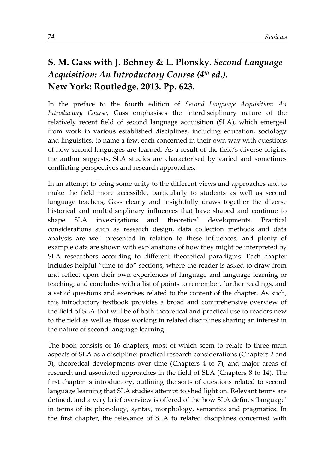## **S. M. Gass with J. Behney & L. Plonsky.** *Second Language Acquisition: An Introductory Course (4th ed.).* **New York: Routledge. 2013. Pp. 623.**

In the preface to the fourth edition of *Second Language Acquisition: An Introductory Course*, Gass emphasises the interdisciplinary nature of the relatively recent field of second language acquisition (SLA), which emerged from work in various established disciplines, including education, sociology and linguistics, to name a few, each concerned in their own way with questions of how second languages are learned. As a result of the field's diverse origins, the author suggests, SLA studies are characterised by varied and sometimes conflicting perspectives and research approaches.

In an attempt to bring some unity to the different views and approaches and to make the field more accessible, particularly to students as well as second language teachers, Gass clearly and insightfully draws together the diverse historical and multidisciplinary influences that have shaped and continue to shape SLA investigations and theoretical developments. Practical considerations such as research design, data collection methods and data analysis are well presented in relation to these influences, and plenty of example data are shown with explanations of how they might be interpreted by SLA researchers according to different theoretical paradigms. Each chapter includes helpful "time to do" sections, where the reader is asked to draw from and reflect upon their own experiences of language and language learning or teaching, and concludes with a list of points to remember, further readings, and a set of questions and exercises related to the content of the chapter. As such, this introductory textbook provides a broad and comprehensive overview of the field of SLA that will be of both theoretical and practical use to readers new to the field as well as those working in related disciplines sharing an interest in the nature of second language learning.

The book consists of 16 chapters, most of which seem to relate to three main aspects of SLA as a discipline: practical research considerations (Chapters 2 and 3), theoretical developments over time (Chapters 4 to 7), and major areas of research and associated approaches in the field of SLA (Chapters 8 to 14). The first chapter is introductory, outlining the sorts of questions related to second language learning that SLA studies attempt to shed light on. Relevant terms are defined, and a very brief overview is offered of the how SLA defines 'language' in terms of its phonology, syntax, morphology, semantics and pragmatics. In the first chapter, the relevance of SLA to related disciplines concerned with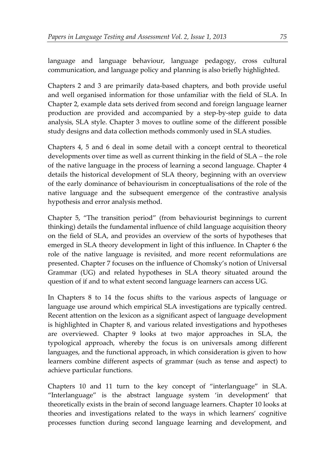language and language behaviour, language pedagogy, cross cultural communication, and language policy and planning is also briefly highlighted.

Chapters 2 and 3 are primarily data-based chapters, and both provide useful and well organised information for those unfamiliar with the field of SLA. In Chapter 2, example data sets derived from second and foreign language learner production are provided and accompanied by a step-by-step guide to data analysis, SLA style. Chapter 3 moves to outline some of the different possible study designs and data collection methods commonly used in SLA studies.

Chapters 4, 5 and 6 deal in some detail with a concept central to theoretical developments over time as well as current thinking in the field of SLA – the role of the native language in the process of learning a second language. Chapter 4 details the historical development of SLA theory, beginning with an overview of the early dominance of behaviourism in conceptualisations of the role of the native language and the subsequent emergence of the contrastive analysis hypothesis and error analysis method.

Chapter 5, "The transition period" (from behaviourist beginnings to current thinking) details the fundamental influence of child language acquisition theory on the field of SLA, and provides an overview of the sorts of hypotheses that emerged in SLA theory development in light of this influence. In Chapter 6 the role of the native language is revisited, and more recent reformulations are presented. Chapter 7 focuses on the influence of Chomsky's notion of Universal Grammar (UG) and related hypotheses in SLA theory situated around the question of if and to what extent second language learners can access UG.

In Chapters 8 to 14 the focus shifts to the various aspects of language or language use around which empirical SLA investigations are typically centred. Recent attention on the lexicon as a significant aspect of language development is highlighted in Chapter 8, and various related investigations and hypotheses are overviewed. Chapter 9 looks at two major approaches in SLA, the typological approach, whereby the focus is on universals among different languages, and the functional approach, in which consideration is given to how learners combine different aspects of grammar (such as tense and aspect) to achieve particular functions.

Chapters 10 and 11 turn to the key concept of "interlanguage" in SLA. "Interlanguage" is the abstract language system 'in development' that theoretically exists in the brain of second language learners. Chapter 10 looks at theories and investigations related to the ways in which learners' cognitive processes function during second language learning and development, and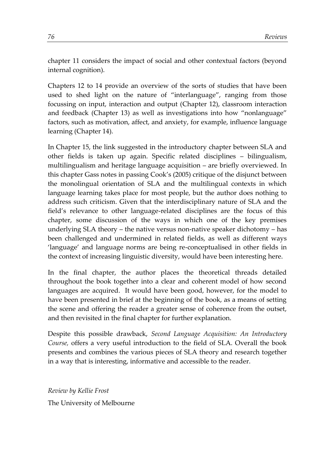chapter 11 considers the impact of social and other contextual factors (beyond internal cognition).

Chapters 12 to 14 provide an overview of the sorts of studies that have been used to shed light on the nature of "interlanguage", ranging from those focussing on input, interaction and output (Chapter 12), classroom interaction and feedback (Chapter 13) as well as investigations into how "nonlanguage" factors, such as motivation, affect, and anxiety, for example, influence language learning (Chapter 14).

In Chapter 15, the link suggested in the introductory chapter between SLA and other fields is taken up again. Specific related disciplines – bilingualism, multilingualism and heritage language acquisition – are briefly overviewed. In this chapter Gass notes in passing Cook's (2005) critique of the disjunct between the monolingual orientation of SLA and the multilingual contexts in which language learning takes place for most people, but the author does nothing to address such criticism. Given that the interdisciplinary nature of SLA and the field's relevance to other language-related disciplines are the focus of this chapter, some discussion of the ways in which one of the key premises underlying SLA theory – the native versus non-native speaker dichotomy – has been challenged and undermined in related fields, as well as different ways 'language' and language norms are being re-conceptualised in other fields in the context of increasing linguistic diversity, would have been interesting here.

In the final chapter, the author places the theoretical threads detailed throughout the book together into a clear and coherent model of how second languages are acquired. It would have been good, however, for the model to have been presented in brief at the beginning of the book, as a means of setting the scene and offering the reader a greater sense of coherence from the outset, and then revisited in the final chapter for further explanation.

Despite this possible drawback, *Second Language Acquisition: An Introductory Course,* offers a very useful introduction to the field of SLA. Overall the book presents and combines the various pieces of SLA theory and research together in a way that is interesting, informative and accessible to the reader.

*Review by Kellie Frost* The University of Melbourne